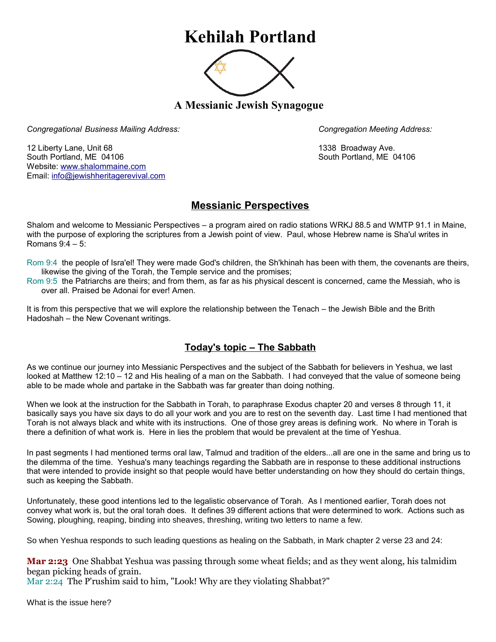## **Kehilah Portland**



**A Messianic Jewish Synagogue** 

*Congregational Business Mailing Address: Congregation Meeting Address:*

12 Liberty Lane, Unit 68 1338 Broadway Ave. South Portland, ME 04106 South Portland, ME 04106 Website: [www.shalommaine.com](http://www.shalommaine.com/) Email: [info@jewishheritagerevival.com](mailto:info@jewishheritagerevival.com) 

## **Messianic Perspectives**

Shalom and welcome to Messianic Perspectives – a program aired on radio stations WRKJ 88.5 and WMTP 91.1 in Maine, with the purpose of exploring the scriptures from a Jewish point of view. Paul, whose Hebrew name is Sha'ul writes in Romans 9:4 – 5:

Rom 9:4 the people of Isra'el! They were made God's children, the Sh'khinah has been with them, the covenants are theirs, likewise the giving of the Torah, the Temple service and the promises;

Rom 9:5 the Patriarchs are theirs; and from them, as far as his physical descent is concerned, came the Messiah, who is over all. Praised be Adonai for ever! Amen.

It is from this perspective that we will explore the relationship between the Tenach – the Jewish Bible and the Brith Hadoshah – the New Covenant writings.

## **Today's topic – The Sabbath**

As we continue our journey into Messianic Perspectives and the subject of the Sabbath for believers in Yeshua, we last looked at Matthew 12:10 – 12 and His healing of a man on the Sabbath. I had conveyed that the value of someone being able to be made whole and partake in the Sabbath was far greater than doing nothing.

When we look at the instruction for the Sabbath in Torah, to paraphrase Exodus chapter 20 and verses 8 through 11, it basically says you have six days to do all your work and you are to rest on the seventh day. Last time I had mentioned that Torah is not always black and white with its instructions. One of those grey areas is defining work. No where in Torah is there a definition of what work is. Here in lies the problem that would be prevalent at the time of Yeshua.

In past segments I had mentioned terms oral law, Talmud and tradition of the elders...all are one in the same and bring us to the dilemma of the time. Yeshua's many teachings regarding the Sabbath are in response to these additional instructions that were intended to provide insight so that people would have better understanding on how they should do certain things, such as keeping the Sabbath.

Unfortunately, these good intentions led to the legalistic observance of Torah. As I mentioned earlier, Torah does not convey what work is, but the oral torah does. It defines 39 different actions that were determined to work. Actions such as Sowing, ploughing, reaping, binding into sheaves, threshing, writing two letters to name a few.

So when Yeshua responds to such leading questions as healing on the Sabbath, in Mark chapter 2 verse 23 and 24:

**Mar 2:23** One Shabbat Yeshua was passing through some wheat fields; and as they went along, his talmidim began picking heads of grain.

Mar 2:24 The P'rushim said to him, "Look! Why are they violating Shabbat?"

What is the issue here?